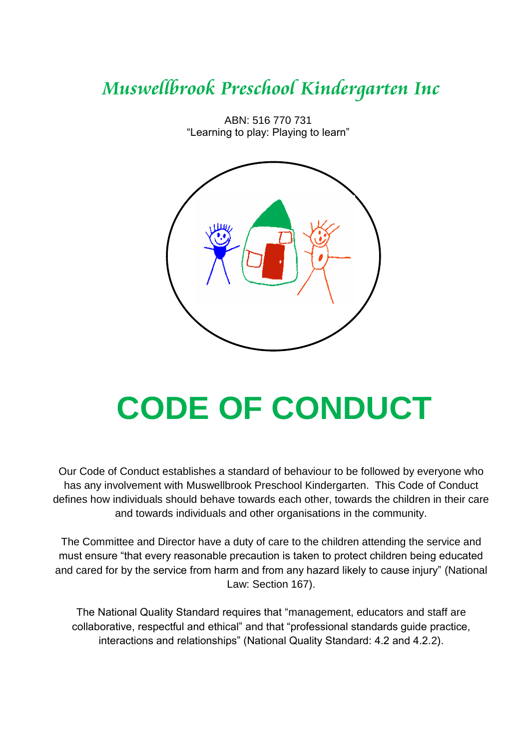# *Muswellbrook Preschool Kindergarten Inc*



ABN: 516 770 731 "Learning to play: Playing to learn"

# **CODE OF CONDUCT**

Our Code of Conduct establishes a standard of behaviour to be followed by everyone who has any involvement with Muswellbrook Preschool Kindergarten. This Code of Conduct defines how individuals should behave towards each other, towards the children in their care and towards individuals and other organisations in the community.

The Committee and Director have a duty of care to the children attending the service and must ensure "that every reasonable precaution is taken to protect children being educated and cared for by the service from harm and from any hazard likely to cause injury" (National Law: Section 167).

The National Quality Standard requires that "management, educators and staff are collaborative, respectful and ethical" and that "professional standards guide practice, interactions and relationships" (National Quality Standard: 4.2 and 4.2.2).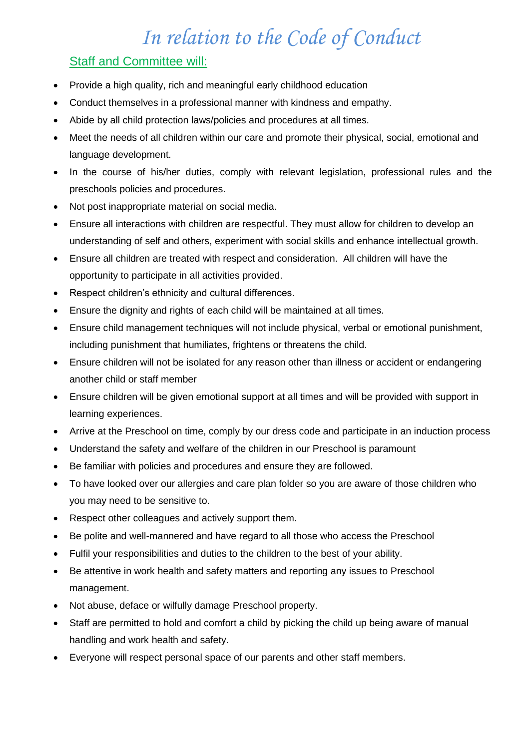# *In relation to the Code of Conduct*

## **Staff and Committee will:**

- Provide a high quality, rich and meaningful early childhood education
- Conduct themselves in a professional manner with kindness and empathy.
- Abide by all child protection laws/policies and procedures at all times.
- Meet the needs of all children within our care and promote their physical, social, emotional and language development.
- In the course of his/her duties, comply with relevant legislation, professional rules and the preschools policies and procedures.
- Not post inappropriate material on social media.
- Ensure all interactions with children are respectful. They must allow for children to develop an understanding of self and others, experiment with social skills and enhance intellectual growth.
- Ensure all children are treated with respect and consideration. All children will have the opportunity to participate in all activities provided.
- Respect children's ethnicity and cultural differences.
- Ensure the dignity and rights of each child will be maintained at all times.
- Ensure child management techniques will not include physical, verbal or emotional punishment, including punishment that humiliates, frightens or threatens the child.
- Ensure children will not be isolated for any reason other than illness or accident or endangering another child or staff member
- Ensure children will be given emotional support at all times and will be provided with support in learning experiences.
- Arrive at the Preschool on time, comply by our dress code and participate in an induction process
- Understand the safety and welfare of the children in our Preschool is paramount
- Be familiar with policies and procedures and ensure they are followed.
- To have looked over our allergies and care plan folder so you are aware of those children who you may need to be sensitive to.
- Respect other colleagues and actively support them.
- Be polite and well-mannered and have regard to all those who access the Preschool
- Fulfil your responsibilities and duties to the children to the best of your ability.
- Be attentive in work health and safety matters and reporting any issues to Preschool management.
- Not abuse, deface or wilfully damage Preschool property.
- Staff are permitted to hold and comfort a child by picking the child up being aware of manual handling and work health and safety.
- Everyone will respect personal space of our parents and other staff members.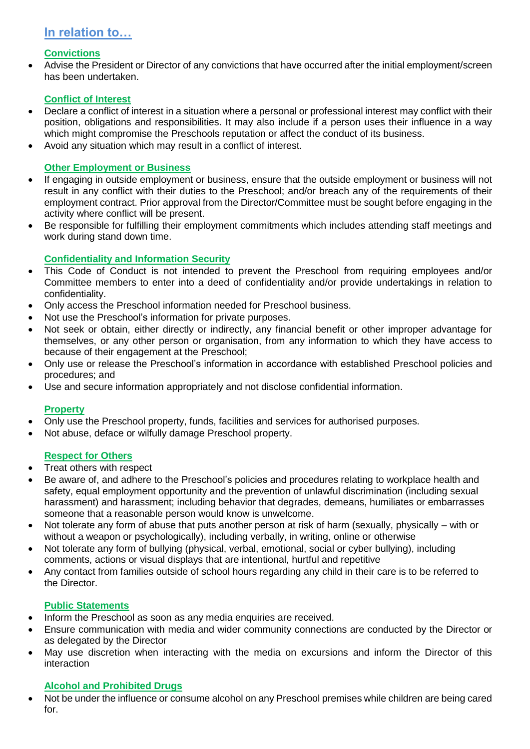### **In relation to…**

#### **Convictions**

 Advise the President or Director of any convictions that have occurred after the initial employment/screen has been undertaken.

#### **Conflict of Interest**

- Declare a conflict of interest in a situation where a personal or professional interest may conflict with their position, obligations and responsibilities. It may also include if a person uses their influence in a way which might compromise the Preschools reputation or affect the conduct of its business.
- Avoid any situation which may result in a conflict of interest.

#### **Other Employment or Business**

- If engaging in outside employment or business, ensure that the outside employment or business will not result in any conflict with their duties to the Preschool; and/or breach any of the requirements of their employment contract. Prior approval from the Director/Committee must be sought before engaging in the activity where conflict will be present.
- Be responsible for fulfilling their employment commitments which includes attending staff meetings and work during stand down time.

#### **Confidentiality and Information Security**

- This Code of Conduct is not intended to prevent the Preschool from requiring employees and/or Committee members to enter into a deed of confidentiality and/or provide undertakings in relation to confidentiality.
- Only access the Preschool information needed for Preschool business.
- Not use the Preschool's information for private purposes.
- Not seek or obtain, either directly or indirectly, any financial benefit or other improper advantage for themselves, or any other person or organisation, from any information to which they have access to because of their engagement at the Preschool;
- Only use or release the Preschool's information in accordance with established Preschool policies and procedures; and
- Use and secure information appropriately and not disclose confidential information.

#### **Property**

- Only use the Preschool property, funds, facilities and services for authorised purposes.
- Not abuse, deface or wilfully damage Preschool property.

#### **Respect for Others**

- Treat others with respect
- Be aware of, and adhere to the Preschool's policies and procedures relating to workplace health and safety, equal employment opportunity and the prevention of unlawful discrimination (including sexual harassment) and harassment; including behavior that degrades, demeans, humiliates or embarrasses someone that a reasonable person would know is unwelcome.
- Not tolerate any form of abuse that puts another person at risk of harm (sexually, physically with or without a weapon or psychologically), including verbally, in writing, online or otherwise
- Not tolerate any form of bullying (physical, verbal, emotional, social or cyber bullying), including comments, actions or visual displays that are intentional, hurtful and repetitive
- Any contact from families outside of school hours regarding any child in their care is to be referred to the Director.

#### **Public Statements**

- Inform the Preschool as soon as any media enquiries are received.
- Ensure communication with media and wider community connections are conducted by the Director or as delegated by the Director
- May use discretion when interacting with the media on excursions and inform the Director of this interaction

#### **Alcohol and Prohibited Drugs**

 Not be under the influence or consume alcohol on any Preschool premises while children are being cared for.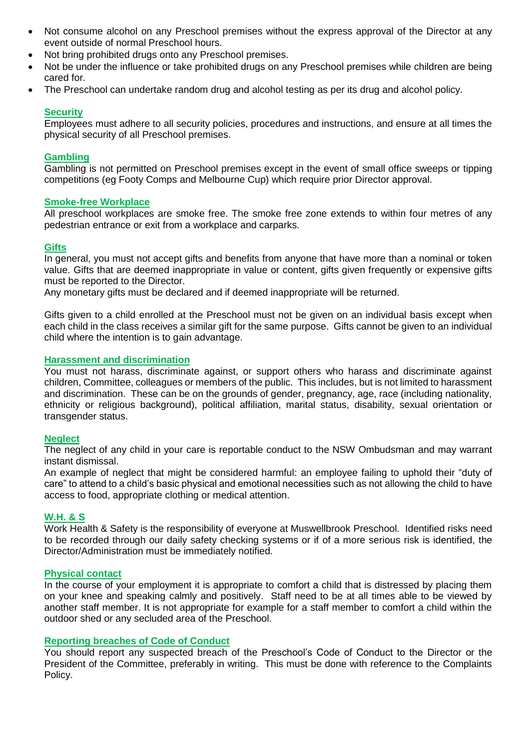- Not consume alcohol on any Preschool premises without the express approval of the Director at any event outside of normal Preschool hours.
- Not bring prohibited drugs onto any Preschool premises.
- Not be under the influence or take prohibited drugs on any Preschool premises while children are being cared for.
- The Preschool can undertake random drug and alcohol testing as per its drug and alcohol policy.

#### **Security**

Employees must adhere to all security policies, procedures and instructions, and ensure at all times the physical security of all Preschool premises.

#### **Gambling**

Gambling is not permitted on Preschool premises except in the event of small office sweeps or tipping competitions (eg Footy Comps and Melbourne Cup) which require prior Director approval.

#### **Smoke-free Workplace**

All preschool workplaces are smoke free. The smoke free zone extends to within four metres of any pedestrian entrance or exit from a workplace and carparks.

#### **Gifts**

In general, you must not accept gifts and benefits from anyone that have more than a nominal or token value. Gifts that are deemed inappropriate in value or content, gifts given frequently or expensive gifts must be reported to the Director.

Any monetary gifts must be declared and if deemed inappropriate will be returned.

Gifts given to a child enrolled at the Preschool must not be given on an individual basis except when each child in the class receives a similar gift for the same purpose. Gifts cannot be given to an individual child where the intention is to gain advantage.

#### **Harassment and discrimination**

You must not harass, discriminate against, or support others who harass and discriminate against children, Committee, colleagues or members of the public. This includes, but is not limited to harassment and discrimination. These can be on the grounds of gender, pregnancy, age, race (including nationality, ethnicity or religious background), political affiliation, marital status, disability, sexual orientation or transgender status.

#### **Neglect**

The neglect of any child in your care is reportable conduct to the NSW Ombudsman and may warrant instant dismissal.

An example of neglect that might be considered harmful: an employee failing to uphold their "duty of care" to attend to a child's basic physical and emotional necessities such as not allowing the child to have access to food, appropriate clothing or medical attention.

#### **W.H. & S**

Work Health & Safety is the responsibility of everyone at Muswellbrook Preschool. Identified risks need to be recorded through our daily safety checking systems or if of a more serious risk is identified, the Director/Administration must be immediately notified.

#### **Physical contact**

In the course of your employment it is appropriate to comfort a child that is distressed by placing them on your knee and speaking calmly and positively. Staff need to be at all times able to be viewed by another staff member. It is not appropriate for example for a staff member to comfort a child within the outdoor shed or any secluded area of the Preschool.

#### **Reporting breaches of Code of Conduct**

You should report any suspected breach of the Preschool's Code of Conduct to the Director or the President of the Committee, preferably in writing. This must be done with reference to the Complaints Policy.